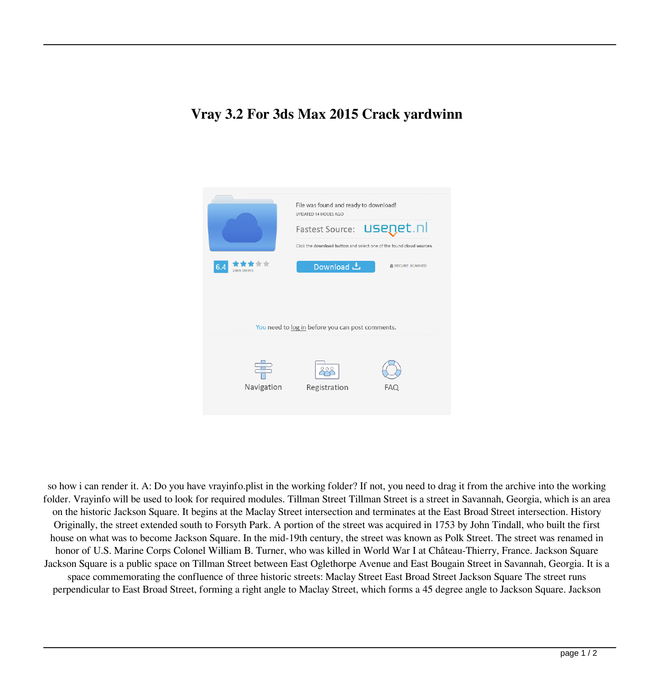## **Vray 3.2 For 3ds Max 2015 Crack yardwinn**



so how i can render it. A: Do you have vrayinfo.plist in the working folder? If not, you need to drag it from the archive into the working folder. Vrayinfo will be used to look for required modules. Tillman Street Tillman Street is a street in Savannah, Georgia, which is an area on the historic Jackson Square. It begins at the Maclay Street intersection and terminates at the East Broad Street intersection. History Originally, the street extended south to Forsyth Park. A portion of the street was acquired in 1753 by John Tindall, who built the first house on what was to become Jackson Square. In the mid-19th century, the street was known as Polk Street. The street was renamed in honor of U.S. Marine Corps Colonel William B. Turner, who was killed in World War I at Château-Thierry, France. Jackson Square Jackson Square is a public space on Tillman Street between East Oglethorpe Avenue and East Bougain Street in Savannah, Georgia. It is a space commemorating the confluence of three historic streets: Maclay Street East Broad Street Jackson Square The street runs perpendicular to East Broad Street, forming a right angle to Maclay Street, which forms a 45 degree angle to Jackson Square. Jackson